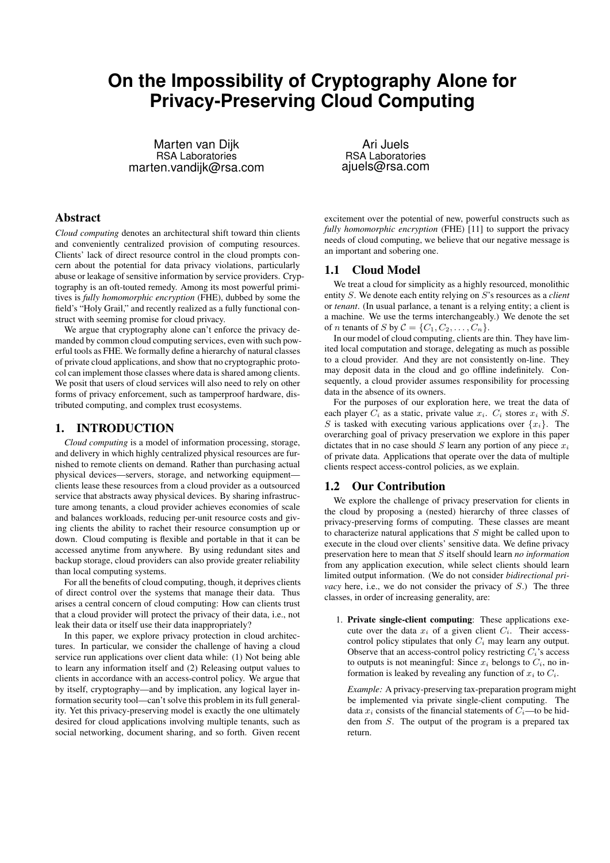# **On the Impossibility of Cryptography Alone for Privacy-Preserving Cloud Computing**

Marten van Dijk RSA Laboratories marten.vandijk@rsa.com

# Abstract

*Cloud computing* denotes an architectural shift toward thin clients and conveniently centralized provision of computing resources. Clients' lack of direct resource control in the cloud prompts concern about the potential for data privacy violations, particularly abuse or leakage of sensitive information by service providers. Cryptography is an oft-touted remedy. Among its most powerful primitives is *fully homomorphic encryption* (FHE), dubbed by some the field's "Holy Grail," and recently realized as a fully functional construct with seeming promise for cloud privacy.

We argue that cryptography alone can't enforce the privacy demanded by common cloud computing services, even with such powerful tools as FHE. We formally define a hierarchy of natural classes of private cloud applications, and show that no cryptographic protocol can implement those classes where data is shared among clients. We posit that users of cloud services will also need to rely on other forms of privacy enforcement, such as tamperproof hardware, distributed computing, and complex trust ecosystems.

#### 1. INTRODUCTION

*Cloud computing* is a model of information processing, storage, and delivery in which highly centralized physical resources are furnished to remote clients on demand. Rather than purchasing actual physical devices—servers, storage, and networking equipment clients lease these resources from a cloud provider as a outsourced service that abstracts away physical devices. By sharing infrastructure among tenants, a cloud provider achieves economies of scale and balances workloads, reducing per-unit resource costs and giving clients the ability to rachet their resource consumption up or down. Cloud computing is flexible and portable in that it can be accessed anytime from anywhere. By using redundant sites and backup storage, cloud providers can also provide greater reliability than local computing systems.

For all the benefits of cloud computing, though, it deprives clients of direct control over the systems that manage their data. Thus arises a central concern of cloud computing: How can clients trust that a cloud provider will protect the privacy of their data, i.e., not leak their data or itself use their data inappropriately?

In this paper, we explore privacy protection in cloud architectures. In particular, we consider the challenge of having a cloud service run applications over client data while: (1) Not being able to learn any information itself and (2) Releasing output values to clients in accordance with an access-control policy. We argue that by itself, cryptography—and by implication, any logical layer information security tool—can't solve this problem in its full generality. Yet this privacy-preserving model is exactly the one ultimately desired for cloud applications involving multiple tenants, such as social networking, document sharing, and so forth. Given recent

Ari Juels RSA Laboratories ajuels@rsa.com

excitement over the potential of new, powerful constructs such as *fully homomorphic encryption* (FHE) [11] to support the privacy needs of cloud computing, we believe that our negative message is an important and sobering one.

## 1.1 Cloud Model

We treat a cloud for simplicity as a highly resourced, monolithic entity S. We denote each entity relying on S's resources as a *client* or *tenant*. (In usual parlance, a tenant is a relying entity; a client is a machine. We use the terms interchangeably.) We denote the set of *n* tenants of *S* by  $C = \{C_1, C_2, \ldots, C_n\}.$ 

In our model of cloud computing, clients are thin. They have limited local computation and storage, delegating as much as possible to a cloud provider. And they are not consistently on-line. They may deposit data in the cloud and go offline indefinitely. Consequently, a cloud provider assumes responsibility for processing data in the absence of its owners.

For the purposes of our exploration here, we treat the data of each player  $C_i$  as a static, private value  $x_i$ .  $C_i$  stores  $x_i$  with S. S is tasked with executing various applications over  $\{x_i\}$ . The overarching goal of privacy preservation we explore in this paper dictates that in no case should S learn any portion of any piece  $x_i$ of private data. Applications that operate over the data of multiple clients respect access-control policies, as we explain.

## 1.2 Our Contribution

We explore the challenge of privacy preservation for clients in the cloud by proposing a (nested) hierarchy of three classes of privacy-preserving forms of computing. These classes are meant to characterize natural applications that S might be called upon to execute in the cloud over clients' sensitive data. We define privacy preservation here to mean that S itself should learn *no information* from any application execution, while select clients should learn limited output information. (We do not consider *bidirectional privacy* here, i.e., we do not consider the privacy of S.) The three classes, in order of increasing generality, are:

1. Private single-client computing: These applications execute over the data  $x_i$  of a given client  $C_i$ . Their accesscontrol policy stipulates that only  $C_i$  may learn any output. Observe that an access-control policy restricting  $C_i$ 's access to outputs is not meaningful: Since  $x_i$  belongs to  $C_i$ , no information is leaked by revealing any function of  $x_i$  to  $C_i$ .

*Example:* A privacy-preserving tax-preparation program might be implemented via private single-client computing. The data  $x_i$  consists of the financial statements of  $C_i$ —to be hidden from S. The output of the program is a prepared tax return.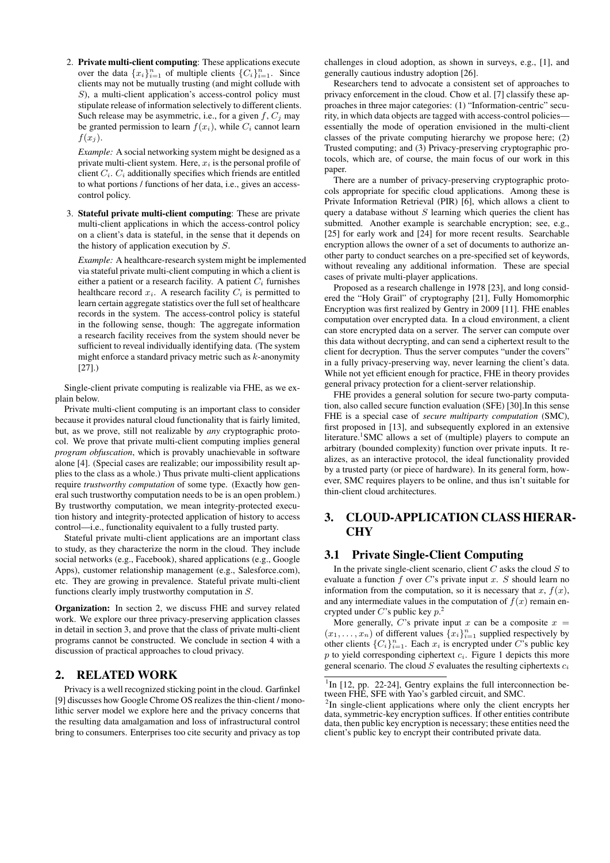2. Private multi-client computing: These applications execute over the data  $\{x_i\}_{i=1}^n$  of multiple clients  $\{C_i\}_{i=1}^n$ . Since clients may not be mutually trusting (and might collude with S), a multi-client application's access-control policy must stipulate release of information selectively to different clients. Such release may be asymmetric, i.e., for a given  $f, C_j$  may be granted permission to learn  $f(x_i)$ , while  $C_i$  cannot learn  $f(x_i)$ .

*Example:* A social networking system might be designed as a private multi-client system. Here,  $x_i$  is the personal profile of client  $C_i$ .  $C_i$  additionally specifies which friends are entitled to what portions / functions of her data, i.e., gives an accesscontrol policy.

3. Stateful private multi-client computing: These are private multi-client applications in which the access-control policy on a client's data is stateful, in the sense that it depends on the history of application execution by S.

*Example:* A healthcare-research system might be implemented via stateful private multi-client computing in which a client is either a patient or a research facility. A patient  $C_i$  furnishes healthcare record  $x_i$ . A research facility  $C_i$  is permitted to learn certain aggregate statistics over the full set of healthcare records in the system. The access-control policy is stateful in the following sense, though: The aggregate information a research facility receives from the system should never be sufficient to reveal individually identifying data. (The system might enforce a standard privacy metric such as  $k$ -anonymity [27].)

Single-client private computing is realizable via FHE, as we explain below.

Private multi-client computing is an important class to consider because it provides natural cloud functionality that is fairly limited, but, as we prove, still not realizable by *any* cryptographic protocol. We prove that private multi-client computing implies general *program obfuscation*, which is provably unachievable in software alone [4]. (Special cases are realizable; our impossibility result applies to the class as a whole.) Thus private multi-client applications require *trustworthy computation* of some type. (Exactly how general such trustworthy computation needs to be is an open problem.) By trustworthy computation, we mean integrity-protected execution history and integrity-protected application of history to access control—i.e., functionality equivalent to a fully trusted party.

Stateful private multi-client applications are an important class to study, as they characterize the norm in the cloud. They include social networks (e.g., Facebook), shared applications (e.g., Google Apps), customer relationship management (e.g., Salesforce.com), etc. They are growing in prevalence. Stateful private multi-client functions clearly imply trustworthy computation in S.

Organization: In section 2, we discuss FHE and survey related work. We explore our three privacy-preserving application classes in detail in section 3, and prove that the class of private multi-client programs cannot be constructed. We conclude in section 4 with a discussion of practical approaches to cloud privacy.

## 2. RELATED WORK

Privacy is a well recognized sticking point in the cloud. Garfinkel [9] discusses how Google Chrome OS realizes the thin-client / monolithic server model we explore here and the privacy concerns that the resulting data amalgamation and loss of infrastructural control bring to consumers. Enterprises too cite security and privacy as top

challenges in cloud adoption, as shown in surveys, e.g., [1], and generally cautious industry adoption [26].

Researchers tend to advocate a consistent set of approaches to privacy enforcement in the cloud. Chow et al. [7] classify these approaches in three major categories: (1) "Information-centric" security, in which data objects are tagged with access-control policies essentially the mode of operation envisioned in the multi-client classes of the private computing hierarchy we propose here; (2) Trusted computing; and (3) Privacy-preserving cryptographic protocols, which are, of course, the main focus of our work in this paper.

There are a number of privacy-preserving cryptographic protocols appropriate for specific cloud applications. Among these is Private Information Retrieval (PIR) [6], which allows a client to query a database without  $S$  learning which queries the client has submitted. Another example is searchable encryption; see, e.g., [25] for early work and [24] for more recent results. Searchable encryption allows the owner of a set of documents to authorize another party to conduct searches on a pre-specified set of keywords, without revealing any additional information. These are special cases of private multi-player applications.

Proposed as a research challenge in 1978 [23], and long considered the "Holy Grail" of cryptography [21], Fully Homomorphic Encryption was first realized by Gentry in 2009 [11]. FHE enables computation over encrypted data. In a cloud environment, a client can store encrypted data on a server. The server can compute over this data without decrypting, and can send a ciphertext result to the client for decryption. Thus the server computes "under the covers" in a fully privacy-preserving way, never learning the client's data. While not yet efficient enough for practice, FHE in theory provides general privacy protection for a client-server relationship.

FHE provides a general solution for secure two-party computation, also called secure function evaluation (SFE) [30].In this sense FHE is a special case of *secure multiparty computation* (SMC), first proposed in [13], and subsequently explored in an extensive literature.<sup>1</sup>SMC allows a set of (multiple) players to compute an arbitrary (bounded complexity) function over private inputs. It realizes, as an interactive protocol, the ideal functionality provided by a trusted party (or piece of hardware). In its general form, however, SMC requires players to be online, and thus isn't suitable for thin-client cloud architectures.

# 3. CLOUD-APPLICATION CLASS HIERAR-**CHY**

## 3.1 Private Single-Client Computing

In the private single-client scenario, client  $C$  asks the cloud  $S$  to evaluate a function f over C's private input x. S should learn no information from the computation, so it is necessary that x,  $f(x)$ , and any intermediate values in the computation of  $f(x)$  remain encrypted under  $C$ 's public key  $p^2$ .

More generally, C's private input x can be a composite  $x =$  $(x_1, \ldots, x_n)$  of different values  $\{x_i\}_{i=1}^n$  supplied respectively by other clients  ${C_i}_{i=1}^n$ . Each  $x_i$  is encrypted under C's public key  $p$  to yield corresponding ciphertext  $c_i$ . Figure 1 depicts this more general scenario. The cloud  $S$  evaluates the resulting ciphertexts  $c_i$ 

<sup>2</sup>In single-client applications where only the client encrypts her data, symmetric-key encryption suffices. If other entities contribute data, then public key encryption is necessary; these entities need the client's public key to encrypt their contributed private data.

<sup>&</sup>lt;sup>1</sup>In [12, pp. 22-24], Gentry explains the full interconnection between FHE, SFE with Yao's garbled circuit, and SMC.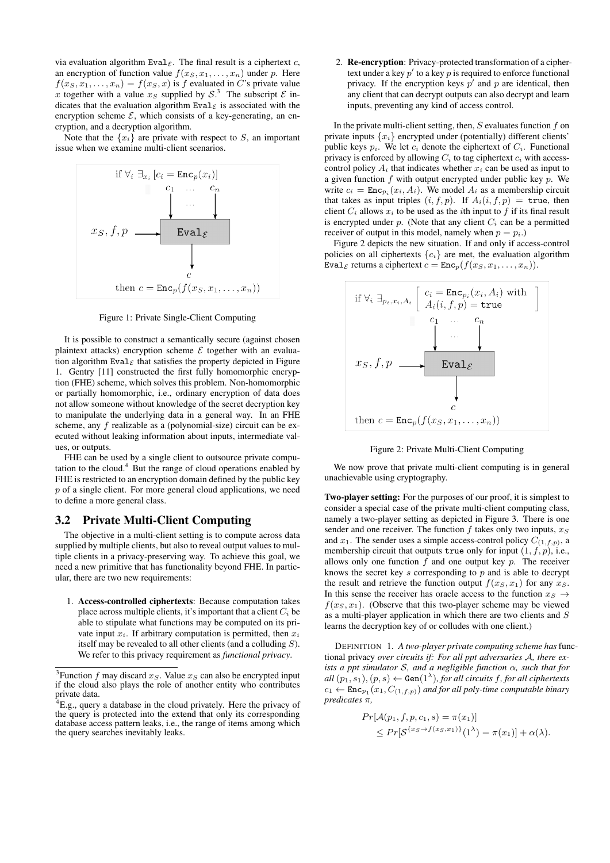via evaluation algorithm  $\text{Eval}_{\mathcal{E}}$ . The final result is a ciphertext c, an encryption of function value  $f(x_S, x_1, \ldots, x_n)$  under p. Here  $f(x_S, x_1, \ldots, x_n) = f(x_S, x)$  is f evaluated in C's private value x together with a value  $x_S$  supplied by  $S^3$ . The subscript  $\mathcal E$  indicates that the evaluation algorithm Eval $\varepsilon$  is associated with the encryption scheme  $\mathcal{E}$ , which consists of a key-generating, an encryption, and a decryption algorithm.

Note that the  $\{x_i\}$  are private with respect to S, an important issue when we examine multi-client scenarios.



Figure 1: Private Single-Client Computing

It is possible to construct a semantically secure (against chosen plaintext attacks) encryption scheme  $\mathcal E$  together with an evaluation algorithm Eval<sub> $\epsilon$ </sub> that satisfies the property depicted in Figure 1. Gentry [11] constructed the first fully homomorphic encryption (FHE) scheme, which solves this problem. Non-homomorphic or partially homomorphic, i.e., ordinary encryption of data does not allow someone without knowledge of the secret decryption key to manipulate the underlying data in a general way. In an FHE scheme, any f realizable as a (polynomial-size) circuit can be executed without leaking information about inputs, intermediate values, or outputs.

FHE can be used by a single client to outsource private computation to the cloud.<sup>4</sup> But the range of cloud operations enabled by FHE is restricted to an encryption domain defined by the public key  $p$  of a single client. For more general cloud applications, we need to define a more general class.

#### 3.2 Private Multi-Client Computing

The objective in a multi-client setting is to compute across data supplied by multiple clients, but also to reveal output values to multiple clients in a privacy-preserving way. To achieve this goal, we need a new primitive that has functionality beyond FHE. In particular, there are two new requirements:

1. Access-controlled ciphertexts: Because computation takes place across multiple clients, it's important that a client  $C_i$  be able to stipulate what functions may be computed on its private input  $x_i$ . If arbitrary computation is permitted, then  $x_i$ itself may be revealed to all other clients (and a colluding S). We refer to this privacy requirement as *functional privacy*.

2. Re-encryption: Privacy-protected transformation of a ciphertext under a key  $p'$  to a key  $p$  is required to enforce functional privacy. If the encryption keys  $p'$  and p are identical, then any client that can decrypt outputs can also decrypt and learn inputs, preventing any kind of access control.

In the private multi-client setting, then,  $S$  evaluates function  $f$  on private inputs  $\{x_i\}$  encrypted under (potentially) different clients' public keys  $p_i$ . We let  $c_i$  denote the ciphertext of  $C_i$ . Functional privacy is enforced by allowing  $C_i$  to tag ciphertext  $c_i$  with accesscontrol policy  $A_i$  that indicates whether  $x_i$  can be used as input to a given function  $f$  with output encrypted under public key  $p$ . We write  $c_i = \text{Enc}_{p_i}(x_i, A_i)$ . We model  $A_i$  as a membership circuit that takes as input triples  $(i, f, p)$ . If  $A_i(i, f, p) = \text{true}$ , then client  $C_i$  allows  $x_i$  to be used as the *i*th input to f if its final result is encrypted under p. (Note that any client  $C_i$  can be a permitted receiver of output in this model, namely when  $p = p<sub>i</sub>$ .

Figure 2 depicts the new situation. If and only if access-control policies on all ciphertexts  ${c_i}$  are met, the evaluation algorithm Eval<sub>E</sub> returns a ciphertext  $c = \text{Enc}_p(f(x_S, x_1, \ldots, x_n)).$ 



Figure 2: Private Multi-Client Computing

We now prove that private multi-client computing is in general unachievable using cryptography.

Two-player setting: For the purposes of our proof, it is simplest to consider a special case of the private multi-client computing class, namely a two-player setting as depicted in Figure 3. There is one sender and one receiver. The function f takes only two inputs,  $x<sub>S</sub>$ and  $x_1$ . The sender uses a simple access-control policy  $C_{(1,f,p)}$ , a membership circuit that outputs true only for input  $(1, f, p)$ , i.e., allows only one function  $\overline{f}$  and one output key  $p$ . The receiver knows the secret key s corresponding to  $p$  and is able to decrypt the result and retrieve the function output  $f(x_S, x_1)$  for any  $x_S$ . In this sense the receiver has oracle access to the function  $x_S \rightarrow$  $f(x_S, x_1)$ . (Observe that this two-player scheme may be viewed as a multi-player application in which there are two clients and S learns the decryption key of or colludes with one client.)

DEFINITION 1. *A two-player private computing scheme has*functional privacy *over circuits if: For all ppt adversaries* A*, there exists a ppt simulator* S*, and a negligible function* α*, such that for*  $all (p_1, s_1), (p, s) \leftarrow$  Gen $(1^{\lambda})$ *, for all circuits f, for all ciphertexts*  $c_1 \leftarrow \texttt{Enc}_{p_1}(x_1, C_{(1,f,p)})$  and for all poly-time computable binary *predicates* π*,*

$$
Pr[\mathcal{A}(p_1, f, p, c_1, s) = \pi(x_1)]
$$
  
\n
$$
\leq Pr[\mathcal{S}^{\{x_S \to f(x_S, x_1)\}}(1^{\lambda}) = \pi(x_1)] + \alpha(\lambda).
$$

<sup>&</sup>lt;sup>3</sup> Function f may discard  $x_S$ . Value  $x_S$  can also be encrypted input if the cloud also plays the role of another entity who contributes private data.

 ${}^{4}E.g.,$  query a database in the cloud privately. Here the privacy of the query is protected into the extend that only its corresponding database access pattern leaks, i.e., the range of items among which the query searches inevitably leaks.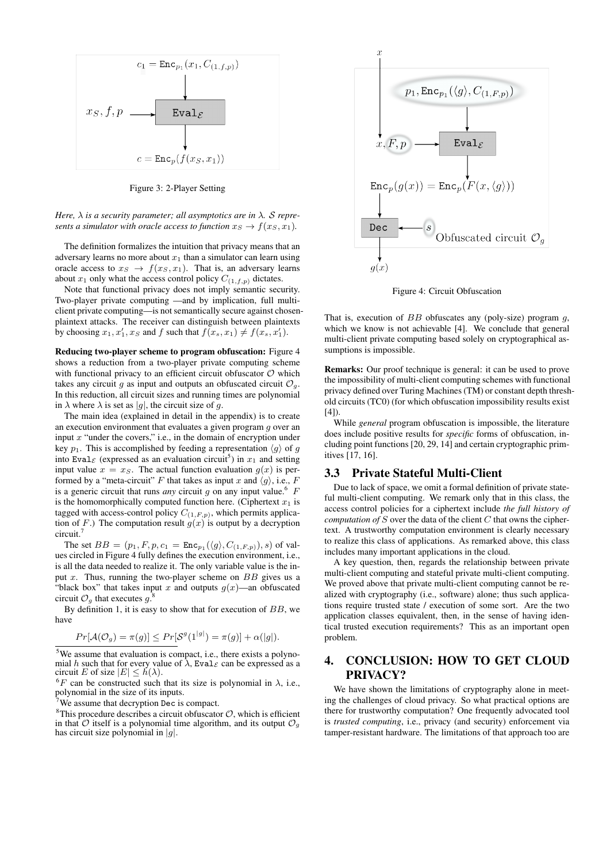

Figure 3: 2-Player Setting

*Here,*  $\lambda$  *is a security parameter; all asymptotics are in*  $\lambda$ *. S represents a simulator with oracle access to function*  $x_S \rightarrow f(x_S, x_1)$ *.* 

The definition formalizes the intuition that privacy means that an adversary learns no more about  $x_1$  than a simulator can learn using oracle access to  $x_S \rightarrow f(x_S, x_1)$ . That is, an adversary learns about  $x_1$  only what the access control policy  $C_{(1,f,p)}$  dictates.

Note that functional privacy does not imply semantic security. Two-player private computing —and by implication, full multiclient private computing—is not semantically secure against chosenplaintext attacks. The receiver can distinguish between plaintexts by choosing  $x_1, x_1, x_S$  and f such that  $f(x_s, x_1) \neq f(x_s, x_1')$ .

Reducing two-player scheme to program obfuscation: Figure 4 shows a reduction from a two-player private computing scheme with functional privacy to an efficient circuit obfuscator  $O$  which takes any circuit g as input and outputs an obfuscated circuit  $\mathcal{O}_q$ . In this reduction, all circuit sizes and running times are polynomial in  $\lambda$  where  $\lambda$  is set as |q|, the circuit size of q.

The main idea (explained in detail in the appendix) is to create an execution environment that evaluates a given program  $g$  over an input  $x$  "under the covers," i.e., in the domain of encryption under key  $p_1$ . This is accomplished by feeding a representation  $\langle q \rangle$  of g into Eval $\varepsilon$  (expressed as an evaluation circuit<sup>5</sup>) in  $x_1$  and setting input value  $x = x_S$ . The actual function evaluation  $g(x)$  is performed by a "meta-circuit" F that takes as input x and  $\langle q \rangle$ , i.e., F is a generic circuit that runs *any* circuit g on any input value.<sup>6</sup>  $F$ is the homomorphically computed function here. (Ciphertext  $x_1$  is tagged with access-control policy  $C_{(1,F,p)}$ , which permits application of F.) The computation result  $g(x)$  is output by a decryption circuit.<sup>7</sup>

The set  $BB = (p_1, F, p, c_1 = \text{Enc}_{p_1}(\langle g \rangle, C_{(1, F, p)}), s)$  of values circled in Figure 4 fully defines the execution environment, i.e., is all the data needed to realize it. The only variable value is the input  $x$ . Thus, running the two-player scheme on  $BB$  gives us a "black box" that takes input x and outputs  $g(x)$ —an obfuscated circuit  $\mathcal{O}_g$  that executes  $g^8$ .

By definition 1, it is easy to show that for execution of  $BB$ , we have

$$
Pr[\mathcal{A}(\mathcal{O}_g) = \pi(g)] \leq Pr[\mathcal{S}^g(1^{|g|}) = \pi(g)] + \alpha(|g|).
$$

We assume that decryption Dec is compact.



Figure 4: Circuit Obfuscation

That is, execution of  $BB$  obfuscates any (poly-size) program  $g$ , which we know is not achievable [4]. We conclude that general multi-client private computing based solely on cryptographical assumptions is impossible.

Remarks: Our proof technique is general: it can be used to prove the impossibility of multi-client computing schemes with functional privacy defined over Turing Machines (TM) or constant depth threshold circuits (TC0) (for which obfuscation impossibility results exist [4]).

While *general* program obfuscation is impossible, the literature does include positive results for *specific* forms of obfuscation, including point functions [20, 29, 14] and certain cryptographic primitives [17, 16].

#### 3.3 Private Stateful Multi-Client

Due to lack of space, we omit a formal definition of private stateful multi-client computing. We remark only that in this class, the access control policies for a ciphertext include *the full history of computation of* S over the data of the client C that owns the ciphertext. A trustworthy computation environment is clearly necessary to realize this class of applications. As remarked above, this class includes many important applications in the cloud.

A key question, then, regards the relationship between private multi-client computing and stateful private multi-client computing. We proved above that private multi-client computing cannot be realized with cryptography (i.e., software) alone; thus such applications require trusted state / execution of some sort. Are the two application classes equivalent, then, in the sense of having identical trusted execution requirements? This as an important open problem.

# 4. CONCLUSION: HOW TO GET CLOUD PRIVACY?

We have shown the limitations of cryptography alone in meeting the challenges of cloud privacy. So what practical options are there for trustworthy computation? One frequently advocated tool is *trusted computing*, i.e., privacy (and security) enforcement via tamper-resistant hardware. The limitations of that approach too are

<sup>5</sup>We assume that evaluation is compact, i.e., there exists a polynomial h such that for every value of  $\lambda$ , Eval<sub> $\varepsilon$ </sub> can be expressed as a circuit E of size  $|E| \leq h(\lambda)$ .

 ${}^{6}F$  can be constructed such that its size is polynomial in  $\lambda$ , i.e., polynomial in the size of its inputs.

<sup>&</sup>lt;sup>8</sup>This procedure describes a circuit obfuscator  $\mathcal{O}$ , which is efficient in that  $\mathcal O$  itself is a polynomial time algorithm, and its output  $\mathcal O_g$ has circuit size polynomial in  $|g|$ .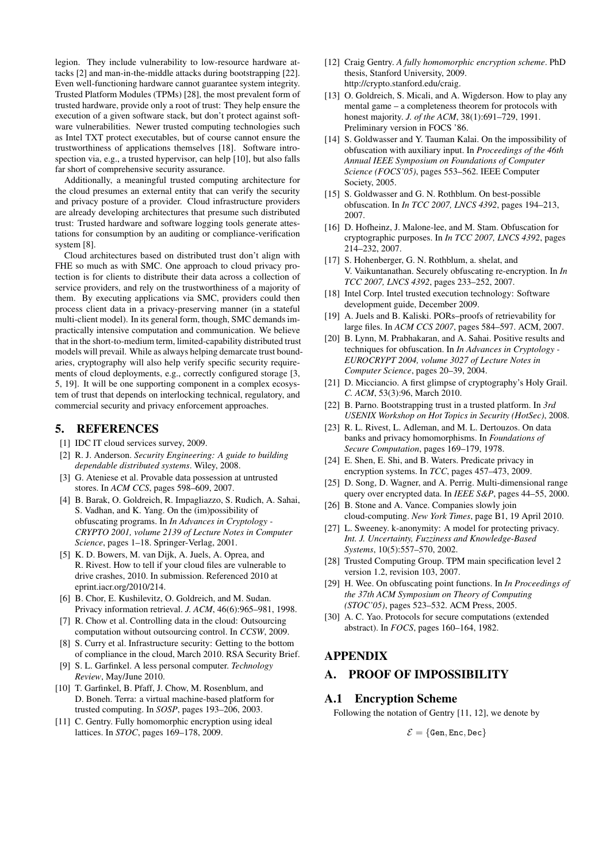legion. They include vulnerability to low-resource hardware attacks [2] and man-in-the-middle attacks during bootstrapping [22]. Even well-functioning hardware cannot guarantee system integrity. Trusted Platform Modules (TPMs) [28], the most prevalent form of trusted hardware, provide only a root of trust: They help ensure the execution of a given software stack, but don't protect against software vulnerabilities. Newer trusted computing technologies such as Intel TXT protect executables, but of course cannot ensure the trustworthiness of applications themselves [18]. Software introspection via, e.g., a trusted hypervisor, can help [10], but also falls far short of comprehensive security assurance.

Additionally, a meaningful trusted computing architecture for the cloud presumes an external entity that can verify the security and privacy posture of a provider. Cloud infrastructure providers are already developing architectures that presume such distributed trust: Trusted hardware and software logging tools generate attestations for consumption by an auditing or compliance-verification system [8].

Cloud architectures based on distributed trust don't align with FHE so much as with SMC. One approach to cloud privacy protection is for clients to distribute their data across a collection of service providers, and rely on the trustworthiness of a majority of them. By executing applications via SMC, providers could then process client data in a privacy-preserving manner (in a stateful multi-client model). In its general form, though, SMC demands impractically intensive computation and communication. We believe that in the short-to-medium term, limited-capability distributed trust models will prevail. While as always helping demarcate trust boundaries, cryptography will also help verify specific security requirements of cloud deployments, e.g., correctly configured storage [3, 5, 19]. It will be one supporting component in a complex ecosystem of trust that depends on interlocking technical, regulatory, and commercial security and privacy enforcement approaches.

## 5. REFERENCES

- [1] IDC IT cloud services survey, 2009.
- [2] R. J. Anderson. *Security Engineering: A guide to building dependable distributed systems*. Wiley, 2008.
- [3] G. Ateniese et al. Provable data possession at untrusted stores. In *ACM CCS*, pages 598–609, 2007.
- [4] B. Barak, O. Goldreich, R. Impagliazzo, S. Rudich, A. Sahai, S. Vadhan, and K. Yang. On the (im)possibility of obfuscating programs. In *In Advances in Cryptology - CRYPTO 2001, volume 2139 of Lecture Notes in Computer Science*, pages 1–18. Springer-Verlag, 2001.
- [5] K. D. Bowers, M. van Dijk, A. Juels, A. Oprea, and R. Rivest. How to tell if your cloud files are vulnerable to drive crashes, 2010. In submission. Referenced 2010 at eprint.iacr.org/2010/214.
- [6] B. Chor, E. Kushilevitz, O. Goldreich, and M. Sudan. Privacy information retrieval. *J. ACM*, 46(6):965–981, 1998.
- [7] R. Chow et al. Controlling data in the cloud: Outsourcing computation without outsourcing control. In *CCSW*, 2009.
- [8] S. Curry et al. Infrastructure security: Getting to the bottom of compliance in the cloud, March 2010. RSA Security Brief.
- [9] S. L. Garfinkel. A less personal computer. *Technology Review*, May/June 2010.
- [10] T. Garfinkel, B. Pfaff, J. Chow, M. Rosenblum, and D. Boneh. Terra: a virtual machine-based platform for trusted computing. In *SOSP*, pages 193–206, 2003.
- [11] C. Gentry. Fully homomorphic encryption using ideal lattices. In *STOC*, pages 169–178, 2009.
- [12] Craig Gentry. *A fully homomorphic encryption scheme*. PhD thesis, Stanford University, 2009. http://crypto.stanford.edu/craig.
- [13] O. Goldreich, S. Micali, and A. Wigderson. How to play any mental game – a completeness theorem for protocols with honest majority. *J. of the ACM*, 38(1):691–729, 1991. Preliminary version in FOCS '86.
- [14] S. Goldwasser and Y. Tauman Kalai. On the impossibility of obfuscation with auxiliary input. In *Proceedings of the 46th Annual IEEE Symposium on Foundations of Computer Science (FOCS'05)*, pages 553–562. IEEE Computer Society, 2005.
- [15] S. Goldwasser and G. N. Rothblum. On best-possible obfuscation. In *In TCC 2007, LNCS 4392*, pages 194–213, 2007.
- [16] D. Hofheinz, J. Malone-lee, and M. Stam. Obfuscation for cryptographic purposes. In *In TCC 2007, LNCS 4392*, pages 214–232, 2007.
- [17] S. Hohenberger, G. N. Rothblum, a. shelat, and V. Vaikuntanathan. Securely obfuscating re-encryption. In *In TCC 2007, LNCS 4392*, pages 233–252, 2007.
- [18] Intel Corp. Intel trusted execution technology: Software development guide, December 2009.
- [19] A. Juels and B. Kaliski. PORs–proofs of retrievability for large files. In *ACM CCS 2007*, pages 584–597. ACM, 2007.
- [20] B. Lynn, M. Prabhakaran, and A. Sahai. Positive results and techniques for obfuscation. In *In Advances in Cryptology - EUROCRYPT 2004, volume 3027 of Lecture Notes in Computer Science*, pages 20–39, 2004.
- [21] D. Micciancio. A first glimpse of cryptography's Holy Grail. *C. ACM*, 53(3):96, March 2010.
- [22] B. Parno. Bootstrapping trust in a trusted platform. In *3rd USENIX Workshop on Hot Topics in Security (HotSec)*, 2008.
- [23] R. L. Rivest, L. Adleman, and M. L. Dertouzos. On data banks and privacy homomorphisms. In *Foundations of Secure Computation*, pages 169–179, 1978.
- [24] E. Shen, E. Shi, and B. Waters. Predicate privacy in encryption systems. In *TCC*, pages 457–473, 2009.
- [25] D. Song, D. Wagner, and A. Perrig. Multi-dimensional range query over encrypted data. In *IEEE S&P*, pages 44–55, 2000.
- [26] B. Stone and A. Vance. Companies slowly join cloud-computing. *New York Times*, page B1, 19 April 2010.
- [27] L. Sweeney. k-anonymity: A model for protecting privacy. *Int. J. Uncertainty, Fuzziness and Knowledge-Based Systems*, 10(5):557–570, 2002.
- [28] Trusted Computing Group. TPM main specification level 2 version 1.2, revision 103, 2007.
- [29] H. Wee. On obfuscating point functions. In *In Proceedings of the 37th ACM Symposium on Theory of Computing (STOC'05)*, pages 523–532. ACM Press, 2005.
- [30] A. C. Yao. Protocols for secure computations (extended abstract). In *FOCS*, pages 160–164, 1982.

# APPENDIX

# A. PROOF OF IMPOSSIBILITY

## A.1 Encryption Scheme

Following the notation of Gentry [11, 12], we denote by

 $\mathcal{E} = \{\texttt{Gen}, \texttt{Enc}, \texttt{Dec}\}$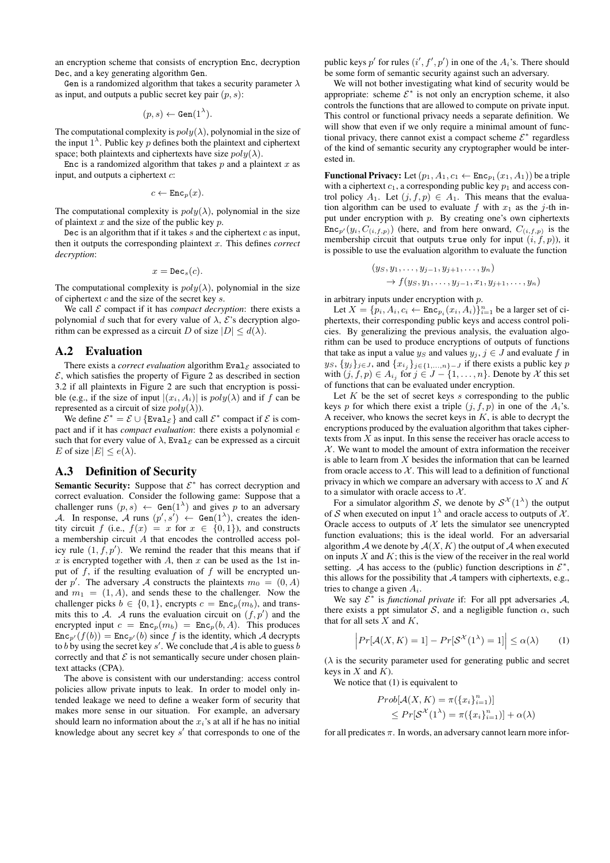an encryption scheme that consists of encryption Enc, decryption Dec, and a key generating algorithm Gen.

Gen is a randomized algorithm that takes a security parameter  $\lambda$ as input, and outputs a public secret key pair  $(p, s)$ :

$$
(p,s) \leftarrow \text{Gen}(1^{\lambda}).
$$

The computational complexity is  $poly(\lambda)$ , polynomial in the size of the input  $1^{\lambda}$ . Public key p defines both the plaintext and ciphertext space; both plaintexts and ciphertexts have size  $poly(\lambda)$ .

Enc is a randomized algorithm that takes  $p$  and a plaintext  $x$  as input, and outputs a ciphertext  $c$ :

$$
c \leftarrow \texttt{Enc}_p(x).
$$

The computational complexity is  $poly(\lambda)$ , polynomial in the size of plaintext  $x$  and the size of the public key  $p$ .

Dec is an algorithm that if it takes  $s$  and the ciphertext  $c$  as input, then it outputs the corresponding plaintext x. This defines *correct decryption*:

$$
x = \mathtt{Dec}_s(c).
$$

The computational complexity is  $poly(\lambda)$ , polynomial in the size of ciphertext  $c$  and the size of the secret key  $s$ .

We call  $\mathcal E$  compact if it has *compact decryption*: there exists a polynomial d such that for every value of  $\lambda$ ,  $\mathcal{E}$ 's decryption algorithm can be expressed as a circuit D of size  $|D| \le d(\lambda)$ .

#### A.2 Evaluation

There exists a *correct evaluation* algorithm  $Eval_{\mathcal{E}}$  associated to  $\mathcal{E}$ , which satisfies the property of Figure 2 as described in section 3.2 if all plaintexts in Figure 2 are such that encryption is possible (e.g., if the size of input  $|(x_i, A_i)|$  is  $poly(\lambda)$  and if f can be represented as a circuit of size  $poly(\lambda)$ .

We define  $\mathcal{E}^* = \mathcal{E} \cup {\text{Eval}_{\mathcal{E}}}$  and call  $\mathcal{E}^*$  compact if  $\mathcal{E}$  is compact and if it has *compact evaluation*: there exists a polynomial e such that for every value of  $\lambda$ , Eval<sub> $\epsilon$ </sub> can be expressed as a circuit E of size  $|E| \leq e(\lambda)$ .

#### A.3 Definition of Security

**Semantic Security:** Suppose that  $\mathcal{E}^*$  has correct decryption and correct evaluation. Consider the following game: Suppose that a challenger runs  $(p, s) \leftarrow$  Gen $(1^{\lambda})$  and gives p to an adversary A. In response, A runs  $(p', s') \leftarrow$  Gen $(1^{\lambda})$ , creates the identity circuit f (i.e.,  $f(x) = x$  for  $x \in \{0, 1\}$ ), and constructs a membership circuit A that encodes the controlled access policy rule  $(1, f, p')$ . We remind the reader that this means that if x is encrypted together with A, then x can be used as the 1st input of  $f$ , if the resulting evaluation of  $f$  will be encrypted under p'. The adversary  $\hat{A}$  constructs the plaintexts  $m_0 = (0, A)$ and  $m_1 = (1, A)$ , and sends these to the challenger. Now the challenger picks  $b \in \{0, 1\}$ , encrypts  $c = \text{Enc}_p(m_b)$ , and transmits this to A. A runs the evaluation circuit on  $(f, p')$  and the encrypted input  $c = \text{Enc}_p(m_b) = \text{Enc}_p(b, A)$ . This produces  $\text{Enc}_{p'}(f(b)) = \text{Enc}_{p'}(b)$  since f is the identity, which A decrypts to b by using the secret key s'. We conclude that A is able to guess b correctly and that  $\mathcal E$  is not semantically secure under chosen plaintext attacks (CPA).

The above is consistent with our understanding: access control policies allow private inputs to leak. In order to model only intended leakage we need to define a weaker form of security that makes more sense in our situation. For example, an adversary should learn no information about the  $x_i$ 's at all if he has no initial knowledge about any secret key  $s'$  that corresponds to one of the

public keys p' for rules  $(i', f', p')$  in one of the  $A_i$ 's. There should be some form of semantic security against such an adversary.

We will not bother investigating what kind of security would be appropriate: scheme  $\mathcal{E}^*$  is not only an encryption scheme, it also controls the functions that are allowed to compute on private input. This control or functional privacy needs a separate definition. We will show that even if we only require a minimal amount of functional privacy, there cannot exist a compact scheme  $\mathcal{E}^*$  regardless of the kind of semantic security any cryptographer would be interested in.

**Functional Privacy:** Let  $(p_1, A_1, c_1 \leftarrow \text{Enc}_{p_1}(x_1, A_1))$  be a triple with a ciphertext  $c_1$ , a corresponding public key  $p_1$  and access control policy  $A_1$ . Let  $(j, f, p) \in A_1$ . This means that the evaluation algorithm can be used to evaluate f with  $x_1$  as the j-th input under encryption with  $p$ . By creating one's own ciphertexts  $\text{Enc}_{p'}(y_i, C_{(i,f,p)})$  (here, and from here onward,  $C_{(i,f,p)}$  is the membership circuit that outputs true only for input  $(i, f, p)$ ), it is possible to use the evaluation algorithm to evaluate the function

$$
(y_S, y_1, \ldots, y_{j-1}, y_{j+1}, \ldots, y_n)
$$
  
\n
$$
\rightarrow f(y_S, y_1, \ldots, y_{j-1}, x_1, y_{j+1}, \ldots, y_n)
$$

in arbitrary inputs under encryption with p.

Let  $X = \{p_i, A_i, c_i \leftarrow \texttt{Enc}_{p_i}(x_i, A_i)\}_{i=1}^n$  be a larger set of ciphertexts, their corresponding public keys and access control policies. By generalizing the previous analysis, the evaluation algorithm can be used to produce encryptions of outputs of functions that take as input a value  $y_S$  and values  $y_j, j \in J$  and evaluate f in  $y_S$ ,  $\{y_j\}_{j\in J}$ , and  $\{x_{i_j}\}_{j\in\{1,\ldots,n\}-J}$  if there exists a public key p with  $(j, f, p) \in A_{i_j}$  for  $j \in J - \{1, \ldots, n\}$ . Denote by X this set of functions that can be evaluated under encryption.

Let  $K$  be the set of secret keys  $s$  corresponding to the public keys p for which there exist a triple  $(j, f, p)$  in one of the  $A_i$ 's. A receiver, who knows the secret keys in  $K$ , is able to decrypt the encryptions produced by the evaluation algorithm that takes ciphertexts from  $X$  as input. In this sense the receiver has oracle access to  $X$ . We want to model the amount of extra information the receiver is able to learn from  $X$  besides the information that can be learned from oracle access to  $X$ . This will lead to a definition of functional privacy in which we compare an adversary with access to  $X$  and  $K$ to a simulator with oracle access to  $X$ .

For a simulator algorithm S, we denote by  $S^{\mathcal{X}}(1^{\lambda})$  the output of S when executed on input  $1^{\lambda}$  and oracle access to outputs of X. Oracle access to outputs of  $X$  lets the simulator see unencrypted function evaluations; this is the ideal world. For an adversarial algorithm A we denote by  $A(X, K)$  the output of A when executed on inputs  $X$  and  $K$ ; this is the view of the receiver in the real world setting. A has access to the (public) function descriptions in  $\mathcal{E}^*$ , this allows for the possibility that  $A$  tampers with ciphertexts, e.g., tries to change a given  $A_i$ .

We say  $\mathcal{E}^*$  is *functional private* if: For all ppt adversaries  $\mathcal{A}$ , there exists a ppt simulator S, and a negligible function  $\alpha$ , such that for all sets  $X$  and  $K$ ,

$$
\left| Pr[\mathcal{A}(X, K) = 1] - Pr[\mathcal{S}^{\mathcal{X}}(1^{\lambda}) = 1] \right| \le \alpha(\lambda)
$$
 (1)

 $(\lambda)$  is the security parameter used for generating public and secret keys in  $X$  and  $K$ ).

We notice that  $(1)$  is equivalent to

$$
Prob[\mathcal{A}(X, K) = \pi(\{x_i\}_{i=1}^n)]
$$
  
\n
$$
\leq Pr[\mathcal{S}^{\mathcal{X}}(1^{\lambda}) = \pi(\{x_i\}_{i=1}^n)] + \alpha(\lambda)
$$

for all predicates  $\pi$ . In words, an adversary cannot learn more infor-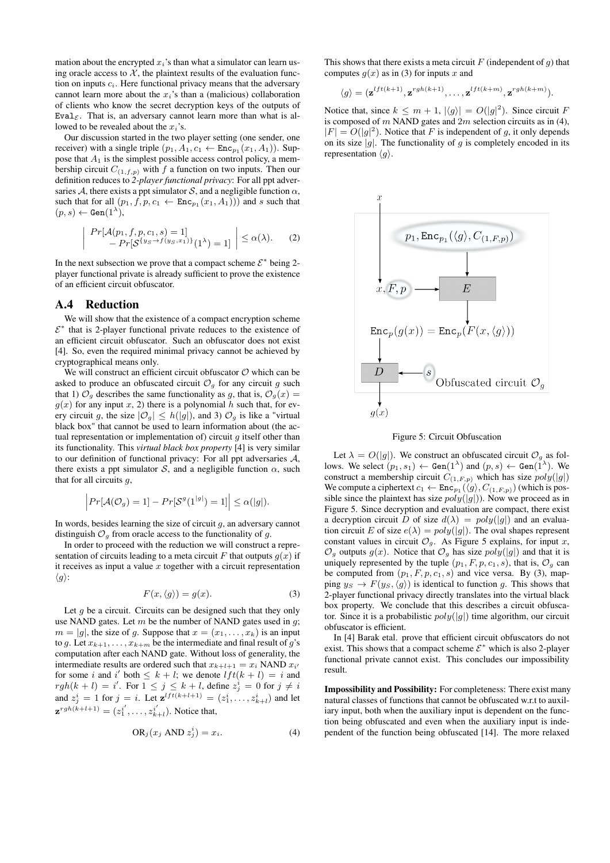mation about the encrypted  $x_i$ 's than what a simulator can learn using oracle access to  $X$ , the plaintext results of the evaluation function on inputs  $c_i$ . Here functional privacy means that the adversary cannot learn more about the  $x_i$ 's than a (malicious) collaboration of clients who know the secret decryption keys of the outputs of Eval $\varepsilon$ . That is, an adversary cannot learn more than what is allowed to be revealed about the  $x_i$ 's.

Our discussion started in the two player setting (one sender, one receiver) with a single triple  $(p_1, A_1, c_1 \leftarrow \text{Enc}_{p_1}(x_1, A_1))$ . Suppose that  $A_1$  is the simplest possible access control policy, a membership circuit  $C_{(1,f,p)}$  with f a function on two inputs. Then our definition reduces to *2-player functional privacy*: For all ppt adversaries A, there exists a ppt simulator S, and a negligible function  $\alpha$ , such that for all  $(p_1, f, p, c_1 \leftarrow \text{Enc}_{p_1}(x_1, A_1))$  and s such that  $(p, s) \leftarrow \texttt{Gen}(1^{\lambda}),$ 

$$
\begin{aligned}\n\Pr[\mathcal{A}(p_1, f, p, c_1, s) = 1] \\
&\quad - \Pr[\mathcal{S}^{\{y_S \to f(y_S, x_1)\}}(1^\lambda) = 1] \quad \leq \alpha(\lambda).\n\end{aligned} \tag{2}
$$

In the next subsection we prove that a compact scheme  $\mathcal{E}^*$  being 2player functional private is already sufficient to prove the existence of an efficient circuit obfuscator.

#### A.4 Reduction

 $\bigg\}$  $\overline{\phantom{a}}$  $\overline{\phantom{a}}$  $\overline{\phantom{a}}$ 

We will show that the existence of a compact encryption scheme  $\mathcal{E}^*$  that is 2-player functional private reduces to the existence of an efficient circuit obfuscator. Such an obfuscator does not exist [4]. So, even the required minimal privacy cannot be achieved by cryptographical means only.

We will construct an efficient circuit obfuscator  $O$  which can be asked to produce an obfuscated circuit  $\mathcal{O}_g$  for any circuit g such that 1)  $\mathcal{O}_g$  describes the same functionality as g, that is,  $\mathcal{O}_g(x)$  =  $g(x)$  for any input x, 2) there is a polynomial h such that, for every circuit g, the size  $|O_g| \le h(|g|)$ , and 3)  $O_g$  is like a "virtual black box" that cannot be used to learn information about (the actual representation or implementation of) circuit  $q$  itself other than its functionality. This *virtual black box property* [4] is very similar to our definition of functional privacy: For all ppt adversaries  $A$ , there exists a ppt simulator S, and a negligible function  $\alpha$ , such that for all circuits  $q$ ,

$$
\left|Pr[\mathcal{A}(\mathcal{O}_g) = 1] - Pr[\mathcal{S}^g(1^{|g|}) = 1] \right| \leq \alpha(|g|).
$$

In words, besides learning the size of circuit  $g$ , an adversary cannot distinguish  $\mathcal{O}_q$  from oracle access to the functionality of g.

In order to proceed with the reduction we will construct a representation of circuits leading to a meta circuit F that outputs  $q(x)$  if it receives as input a value  $x$  together with a circuit representation  $\langle g \rangle$ :

$$
F(x,\langle g \rangle) = g(x). \tag{3}
$$

Let  $g$  be a circuit. Circuits can be designed such that they only use NAND gates. Let  $m$  be the number of NAND gates used in  $g$ ;  $m = |g|$ , the size of g. Suppose that  $x = (x_1, \ldots, x_k)$  is an input to g. Let  $x_{k+1}, \ldots, x_{k+m}$  be the intermediate and final result of g's computation after each NAND gate. Without loss of generality, the intermediate results are ordered such that  $x_{k+l+1} = x_i$  NAND  $x_i$ for some i and i' both  $\leq k + l$ ; we denote  $lft(k + l) = i$  and  $rgh(k+l) = i'.$  For  $1 \leq j \leq k+l$ , define  $z_j^i = 0$  for  $j \neq i$ and  $z_j^i = 1$  for  $j = i$ . Let  $\mathbf{z}^{lft(k+l+1)} = (z_1^i, \dots, z_{k+l}^i)$  and let  $\mathbf{z}^{rgh(k+l+1)} = (z_1^{i'}, \dots, z_{k+l}^{i'})$ . Notice that,

$$
OR_j(x_j \text{ AND } z_j^i) = x_i. \tag{4}
$$

This shows that there exists a meta circuit  $F$  (independent of  $g$ ) that computes  $g(x)$  as in (3) for inputs x and

$$
\langle g \rangle = (\mathbf{z}^{lft(k+1)}, \mathbf{z}^{rgh(k+1)}, \dots, \mathbf{z}^{lft(k+m)}, \mathbf{z}^{rgh(k+m)}).
$$

Notice that, since  $k \leq m + 1$ ,  $|\langle g \rangle| = O(|g|^2)$ . Since circuit F is composed of m NAND gates and  $2m$  selection circuits as in (4),  $|F| = O(|g|^2)$ . Notice that F is independent of g, it only depends on its size |q|. The functionality of q is completely encoded in its representation  $\langle q \rangle$ .



Figure 5: Circuit Obfuscation

Let  $\lambda = O(|g|)$ . We construct an obfuscated circuit  $\mathcal{O}_g$  as follows. We select  $(p_1, s_1) \leftarrow$  Gen $(1^{\lambda})$  and  $(p, s) \leftarrow$  Gen $(1^{\lambda})$ . We construct a membership circuit  $C_{(1,F,p)}$  which has size  $poly(|g|)$ We compute a ciphertext  $c_1 \leftarrow \texttt{Enc}_{p_1}(\langle g \rangle, C_{(1,F,p)})$  (which is possible since the plaintext has size  $poly(|g|)$ ). Now we proceed as in Figure 5. Since decryption and evaluation are compact, there exist a decryption circuit D of size  $d(\lambda) = poly(|g|)$  and an evaluation circuit E of size  $e(\lambda) = poly(|g|)$ . The oval shapes represent constant values in circuit  $\mathcal{O}_g$ . As Figure 5 explains, for input x,  $\mathcal{O}_g$  outputs  $g(x)$ . Notice that  $\mathcal{O}_g$  has size  $poly(|g|)$  and that it is uniquely represented by the tuple  $(p_1, F, p, c_1, s)$ , that is,  $\mathcal{O}_g$  can be computed from  $(p_1, F, p, c_1, s)$  and vice versa. By (3), mapping  $y_S \rightarrow F(y_S, \langle g \rangle)$  is identical to function g. This shows that 2-player functional privacy directly translates into the virtual black box property. We conclude that this describes a circuit obfuscator. Since it is a probabilistic  $poly(|g|)$  time algorithm, our circuit obfuscator is efficient.

In [4] Barak etal. prove that efficient circuit obfuscators do not exist. This shows that a compact scheme  $\mathcal{E}^*$  which is also 2-player functional private cannot exist. This concludes our impossibility result.

Impossibility and Possibility: For completeness: There exist many natural classes of functions that cannot be obfuscated w.r.t to auxiliary input, both when the auxiliary input is dependent on the function being obfuscated and even when the auxiliary input is independent of the function being obfuscated [14]. The more relaxed